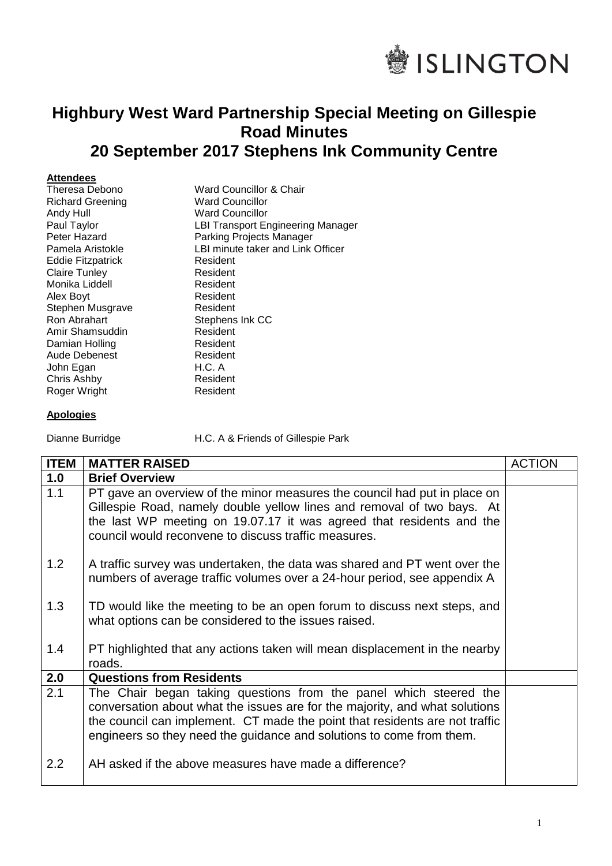

## **Highbury West Ward Partnership Special Meeting on Gillespie Road Minutes 20 September 2017 Stephens Ink Community Centre**

## **Attendees**

| Theresa Debono          | Ward Councillor & Chair                  |
|-------------------------|------------------------------------------|
| <b>Richard Greening</b> | <b>Ward Councillor</b>                   |
| Andy Hull               | <b>Ward Councillor</b>                   |
| Paul Taylor             | <b>LBI Transport Engineering Manager</b> |
| Peter Hazard            | Parking Projects Manager                 |
| Pamela Aristokle        | LBI minute taker and Link Officer        |
| Eddie Fitzpatrick       | Resident                                 |
| <b>Claire Tunley</b>    | Resident                                 |
| Monika Liddell          | Resident                                 |
| Alex Boyt               | Resident                                 |
| Stephen Musgrave        | Resident                                 |
| Ron Abrahart            | Stephens Ink CC                          |
| Amir Shamsuddin         | Resident                                 |
| Damian Holling          | Resident                                 |
| Aude Debenest           | Resident                                 |
| John Egan               | H.C. A                                   |
| Chris Ashby             | Resident                                 |
| Roger Wright            | Resident                                 |
|                         |                                          |

## **Apologies**

Dianne Burridge H.C. A & Friends of Gillespie Park

| <b>ITEM</b>      | <b>MATTER RAISED</b>                                                                                                                                                                                                                                                                                    | <b>ACTION</b> |
|------------------|---------------------------------------------------------------------------------------------------------------------------------------------------------------------------------------------------------------------------------------------------------------------------------------------------------|---------------|
| 1.0              | <b>Brief Overview</b>                                                                                                                                                                                                                                                                                   |               |
| 1.1              | PT gave an overview of the minor measures the council had put in place on<br>Gillespie Road, namely double yellow lines and removal of two bays. At<br>the last WP meeting on 19.07.17 it was agreed that residents and the<br>council would reconvene to discuss traffic measures.                     |               |
| 1.2              | A traffic survey was undertaken, the data was shared and PT went over the<br>numbers of average traffic volumes over a 24-hour period, see appendix A                                                                                                                                                   |               |
| 1.3              | TD would like the meeting to be an open forum to discuss next steps, and<br>what options can be considered to the issues raised.                                                                                                                                                                        |               |
| 1.4              | PT highlighted that any actions taken will mean displacement in the nearby<br>roads.                                                                                                                                                                                                                    |               |
| 2.0              | <b>Questions from Residents</b>                                                                                                                                                                                                                                                                         |               |
| 2.1              | The Chair began taking questions from the panel which steered the<br>conversation about what the issues are for the majority, and what solutions<br>the council can implement. CT made the point that residents are not traffic<br>engineers so they need the guidance and solutions to come from them. |               |
| $2.2\phantom{0}$ | AH asked if the above measures have made a difference?                                                                                                                                                                                                                                                  |               |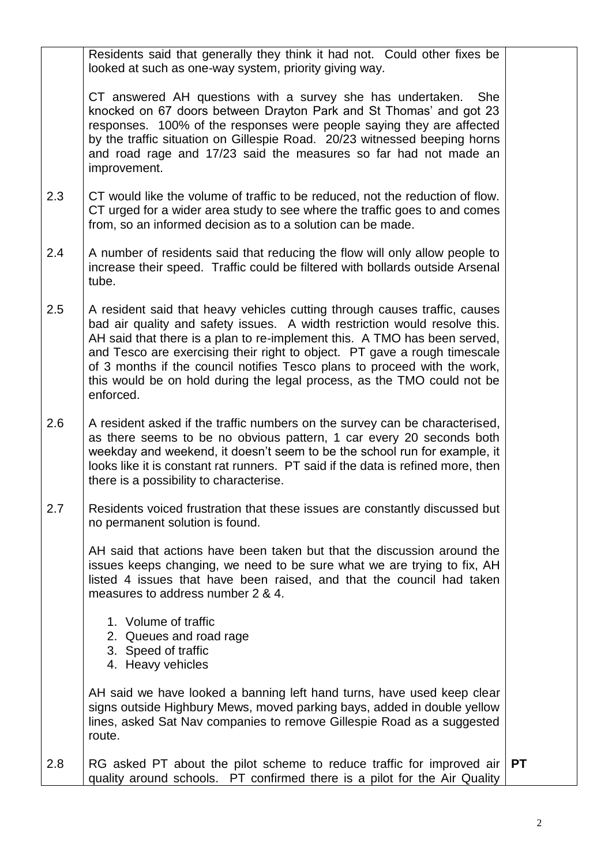|     | Residents said that generally they think it had not. Could other fixes be<br>looked at such as one-way system, priority giving way.                                                                                                                                                                                                                                                                                                                                                     |           |
|-----|-----------------------------------------------------------------------------------------------------------------------------------------------------------------------------------------------------------------------------------------------------------------------------------------------------------------------------------------------------------------------------------------------------------------------------------------------------------------------------------------|-----------|
|     | CT answered AH questions with a survey she has undertaken.<br><b>She</b><br>knocked on 67 doors between Drayton Park and St Thomas' and got 23<br>responses. 100% of the responses were people saying they are affected<br>by the traffic situation on Gillespie Road. 20/23 witnessed beeping horns<br>and road rage and 17/23 said the measures so far had not made an<br>improvement.                                                                                                |           |
| 2.3 | CT would like the volume of traffic to be reduced, not the reduction of flow.<br>CT urged for a wider area study to see where the traffic goes to and comes<br>from, so an informed decision as to a solution can be made.                                                                                                                                                                                                                                                              |           |
| 2.4 | A number of residents said that reducing the flow will only allow people to<br>increase their speed. Traffic could be filtered with bollards outside Arsenal<br>tube.                                                                                                                                                                                                                                                                                                                   |           |
| 2.5 | A resident said that heavy vehicles cutting through causes traffic, causes<br>bad air quality and safety issues. A width restriction would resolve this.<br>AH said that there is a plan to re-implement this. A TMO has been served,<br>and Tesco are exercising their right to object. PT gave a rough timescale<br>of 3 months if the council notifies Tesco plans to proceed with the work,<br>this would be on hold during the legal process, as the TMO could not be<br>enforced. |           |
| 2.6 | A resident asked if the traffic numbers on the survey can be characterised,<br>as there seems to be no obvious pattern, 1 car every 20 seconds both<br>weekday and weekend, it doesn't seem to be the school run for example, it<br>looks like it is constant rat runners. PT said if the data is refined more, then<br>there is a possibility to characterise.                                                                                                                         |           |
| 2.7 | Residents voiced frustration that these issues are constantly discussed but<br>no permanent solution is found.                                                                                                                                                                                                                                                                                                                                                                          |           |
|     | AH said that actions have been taken but that the discussion around the<br>issues keeps changing, we need to be sure what we are trying to fix, AH<br>listed 4 issues that have been raised, and that the council had taken<br>measures to address number 2 & 4.                                                                                                                                                                                                                        |           |
|     | 1. Volume of traffic<br>2. Queues and road rage<br>3. Speed of traffic<br>4. Heavy vehicles                                                                                                                                                                                                                                                                                                                                                                                             |           |
|     | AH said we have looked a banning left hand turns, have used keep clear<br>signs outside Highbury Mews, moved parking bays, added in double yellow<br>lines, asked Sat Nav companies to remove Gillespie Road as a suggested<br>route.                                                                                                                                                                                                                                                   |           |
| 2.8 | RG asked PT about the pilot scheme to reduce traffic for improved air<br>quality around schools. PT confirmed there is a pilot for the Air Quality                                                                                                                                                                                                                                                                                                                                      | <b>PT</b> |